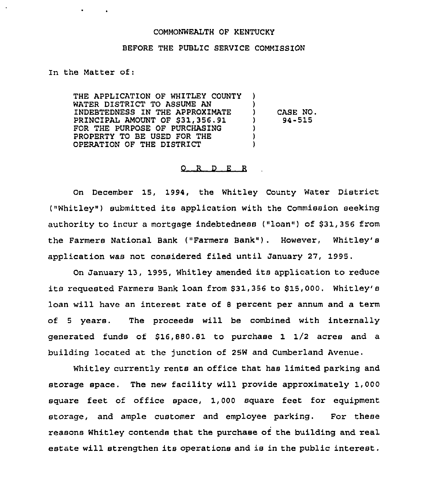## COMMONWEALTH OF KENTUCKY

## BEFORE THE PUBLIC SERVICE COMMISSION

In the Matter of:

 $\bullet$  . The set of  $\bullet$ 

THE APPLICATION OF WHITLEY COUNTY WATER DISTRICT TO ASSUME AN INDEBTEDNESS IN THE APPROXIMATE PRINC1PAL AMOUNT OF \$31,356.91 FOR THE PURPOSE OF PURCHASING PROPERTY TO BE USED FOR THE OPERATION OF THE DISTRICT ) ) ) CASE NO. ) 94-515 ) ) )

## 0 R <sup>D</sup> <sup>E</sup> <sup>R</sup>

On December 15, 1994, the Whitley County Water District ("Whitley") submitted its application with the Commission seeking authority to incur a mortgage indebtedness ("loan") of \$31,356 from the Farmers National Bank ("Farmers Bank"). However, Whitley's application was not considered filed until January 27, 1995.

On January 13, 1995, Whitley amended its application to reduce its requested Farmers Bank loan from \$31,356 to \$15,000. Whitley's loan will have an interest rate of <sup>8</sup> percent pex annum and a term of <sup>5</sup> years. The proceeds will be combined with internally generated funds of  $$16,880.81$  to purchase 1  $1/2$  acres and a building located at the junction of 25W and Cumberland Avenue.

Whitley currently rents an office that has limited parking and storage space. The new facility will provide approximately 1,000 square feet of office space, 1,000 square feet for equipment storage, and ample customer and employee parking. For these xeasons Whitley contends that the purchase of the building and real estate will strengthen its operations and is in the public interest.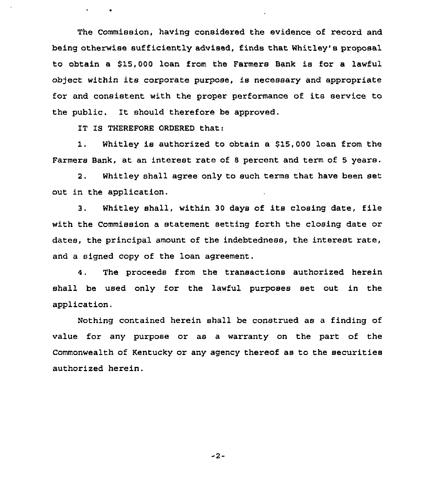The Commission, having considered the evidence of record and being otherwise sufficiently advised, finds that Whitley's proposal to obtain a \$15,000 loan from the Farmers Bank is for a lawful object within its corporate purpose, is necessary and appropriate for and consistent with the proper performance of its service to the public. It should therefore be approved.

IT IS THEREFORE ORDERED that:

 $\sim$   $\sim$   $\sim$   $\sim$ 

1. Whitley is authorized to obtain a 515,000 loan from the Farmers Bank, at an interest rate of <sup>8</sup> percent and term of 5 years.

2. Whitley shall agree only to such terms that have been set out in the application.

3. Whitley shall, within <sup>30</sup> days of its clcsing date, file with the Commission a statement setting forth the closing date or dates, the principal amount of the indebtedness, the interest rate, and a signed copy of the loan agreement.

The proceeds from the transactions authorized herein  $4.$ shall be used only for the lawful purposes set out in the application.

Nothing contained herein shall be construed as a finding of value for any purpose or as a warranty on the part of the Commonwealth of Kentucky or any agency thereof as to the securities authorized herein.

-2-